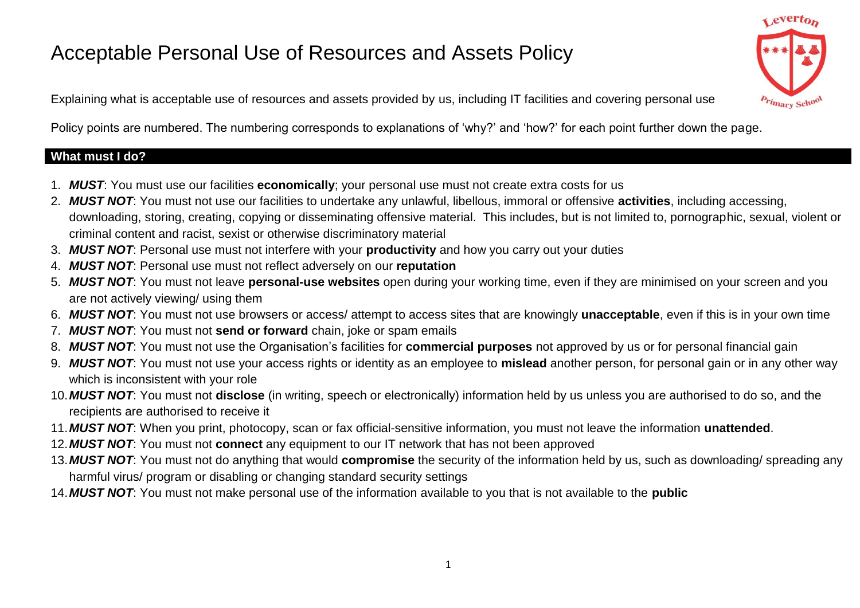# Acceptable Personal Use of Resources and Assets Policy

evert<sub>o</sub>

Explaining what is acceptable use of resources and assets provided by us, including IT facilities and covering personal use

Policy points are numbered. The numbering corresponds to explanations of 'why?' and 'how?' for each point further down the page.

#### **What must I do?**

- 1. *MUST*: You must use our facilities **economically**; your personal use must not create extra costs for us
- 2. *MUST NOT*: You must not use our facilities to undertake any unlawful, libellous, immoral or offensive **activities**, including accessing, downloading, storing, creating, copying or disseminating offensive material. This includes, but is not limited to, pornographic, sexual, violent or criminal content and racist, sexist or otherwise discriminatory material
- 3. *MUST NOT*: Personal use must not interfere with your **productivity** and how you carry out your duties
- 4. *MUST NOT*: Personal use must not reflect adversely on our **reputation**
- 5. *MUST NOT*: You must not leave **personal-use websites** open during your working time, even if they are minimised on your screen and you are not actively viewing/ using them
- 6. *MUST NOT*: You must not use browsers or access/ attempt to access sites that are knowingly **unacceptable**, even if this is in your own time
- 7. *MUST NOT*: You must not **send or forward** chain, joke or spam emails
- 8. *MUST NOT*: You must not use the Organisation's facilities for **commercial purposes** not approved by us or for personal financial gain
- 9. *MUST NOT*: You must not use your access rights or identity as an employee to **mislead** another person, for personal gain or in any other way which is inconsistent with your role
- 10.*MUST NOT*: You must not **disclose** (in writing, speech or electronically) information held by us unless you are authorised to do so, and the recipients are authorised to receive it
- 11.*MUST NOT*: When you print, photocopy, scan or fax official-sensitive information, you must not leave the information **unattended**.
- 12.*MUST NOT*: You must not **connect** any equipment to our IT network that has not been approved
- 13.*MUST NOT*: You must not do anything that would **compromise** the security of the information held by us, such as downloading/ spreading any harmful virus/ program or disabling or changing standard security settings
- 14.*MUST NOT*: You must not make personal use of the information available to you that is not available to the **public**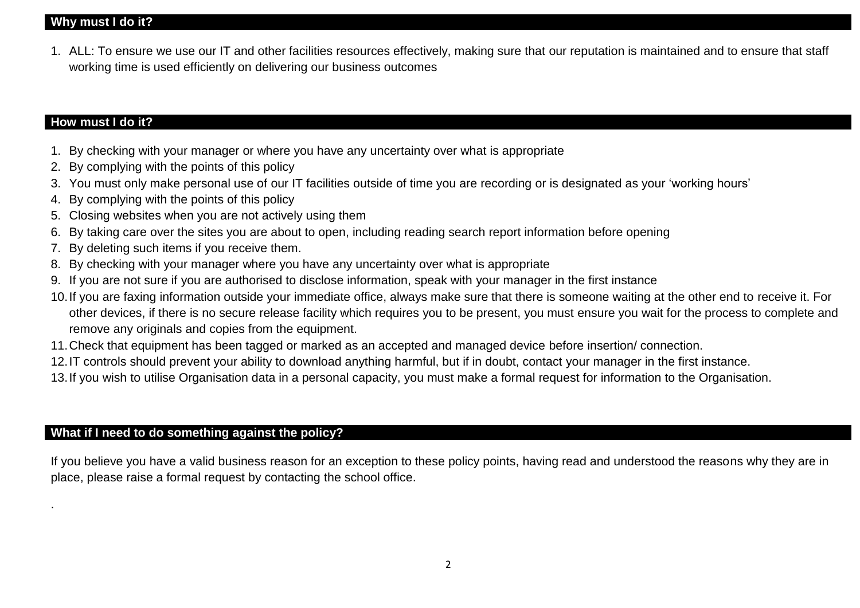#### **Why must I do it?**

1. ALL: To ensure we use our IT and other facilities resources effectively, making sure that our reputation is maintained and to ensure that staff working time is used efficiently on delivering our business outcomes

# **How must I do it?**

.

- 1. By checking with your manager or where you have any uncertainty over what is appropriate
- 2. By complying with the points of this policy
- 3. You must only make personal use of our IT facilities outside of time you are recording or is designated as your 'working hours'
- 4. By complying with the points of this policy
- 5. Closing websites when you are not actively using them
- 6. By taking care over the sites you are about to open, including reading search report information before opening
- 7. By deleting such items if you receive them.
- 8. By checking with your manager where you have any uncertainty over what is appropriate
- 9. If you are not sure if you are authorised to disclose information, speak with your manager in the first instance
- 10.If you are faxing information outside your immediate office, always make sure that there is someone waiting at the other end to receive it. For other devices, if there is no secure release facility which requires you to be present, you must ensure you wait for the process to complete and remove any originals and copies from the equipment.
- 11.Check that equipment has been tagged or marked as an accepted and managed device before insertion/ connection.
- 12.IT controls should prevent your ability to download anything harmful, but if in doubt, contact your manager in the first instance.
- 13.If you wish to utilise Organisation data in a personal capacity, you must make a formal request for information to the Organisation.

#### **What if I need to do something against the policy?**

If you believe you have a valid business reason for an exception to these policy points, having read and understood the reasons why they are in place, please raise a formal request by contacting the school office.